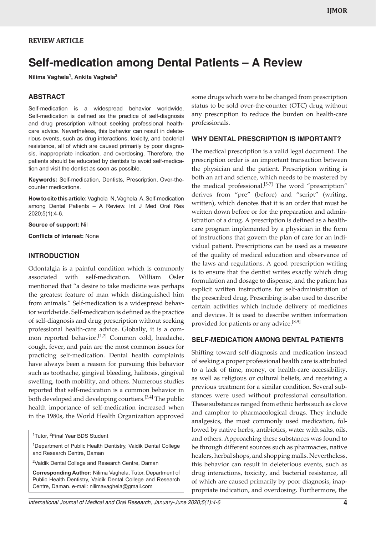# **REVIEW ARTICLE**

# **Self-medication among Dental Patients – A Review**

**Nilima Vaghela1 , Ankita Vaghela2**

## **ABSTRACT**

Self-medication is a widespread behavior worldwide. Self-medication is defined as the practice of self-diagnosis and drug prescription without seeking professional healthcare advice. Nevertheless, this behavior can result in deleterious events, such as drug interactions, toxicity, and bacterial resistance, all of which are caused primarily by poor diagnosis, inappropriate indication, and overdosing. Therefore, the patients should be educated by dentists to avoid self-medication and visit the dentist as soon as possible.

**Keywords:** Self-medication, Dentists, Prescription, Over-thecounter medications.

**How to cite this article:** Vaghela N, Vaghela A. Self-medication among Dental Patients – A Review. Int J Med Oral Res 2020;5(1):4-6.

**Source of support:** Nil

**Conflicts of interest:** None

### **INTRODUCTION**

Odontalgia is a painful condition which is commonly associated with self-medication. William Osler mentioned that "a desire to take medicine was perhaps the greatest feature of man which distinguished him from animals." Self-medication is a widespread behavior worldwide. Self-medication is defined as the practice of self-diagnosis and drug prescription without seeking professional health-care advice. Globally, it is a common reported behavior.<sup>[1,2]</sup> Common cold, headache, cough, fever, and pain are the most common issues for practicing self-medication. Dental health complaints have always been a reason for pursuing this behavior such as toothache, gingival bleeding, halitosis, gingival swelling, tooth mobility, and others. Numerous studies reported that self-medication is a common behavior in both developed and developing courtiers.[3,4] The public health importance of self-medication increased when in the 1980s, the World Health Organization approved

<sup>1</sup>Tutor, <sup>2</sup>Final Year BDS Student

<sup>1</sup>Department of Public Health Dentistry, Vaidik Dental College and Research Centre, Daman

<sup>2</sup>Vaidik Dental College and Research Centre, Daman

**Corresponding Author:** Nilima Vaghela, Tutor, Department of Public Health Dentistry, Vaidik Dental College and Research Centre, Daman. e-mail: nilimavaghela@gmail.com

some drugs which were to be changed from prescription status to be sold over-the-counter (OTC) drug without any prescription to reduce the burden on health-care professionals.

## **WHY DENTAL PRESCRIPTION IS IMPORTANT?**

The medical prescription is a valid legal document. The prescription order is an important transaction between the physician and the patient. Prescription writing is both an art and science, which needs to be mastered by the medical professional.<sup>[5-7]</sup> The word "prescription" derives from "pre" (before) and "script" (writing, written), which denotes that it is an order that must be written down before or for the preparation and administration of a drug. A prescription is defined as a healthcare program implemented by a physician in the form of instructions that govern the plan of care for an individual patient. Prescriptions can be used as a measure of the quality of medical education and observance of the laws and regulations. A good prescription writing is to ensure that the dentist writes exactly which drug formulation and dosage to dispense, and the patient has explicit written instructions for self-administration of the prescribed drug. Prescribing is also used to describe certain activities which include delivery of medicines and devices. It is used to describe written information provided for patients or any advice.<sup>[8,9]</sup>

# **SELF-MEDICATION AMONG DENTAL PATIENTS**

Shifting toward self-diagnosis and medication instead of seeking a proper professional health care is attributed to a lack of time, money, or health-care accessibility, as well as religious or cultural beliefs, and receiving a previous treatment for a similar condition. Several substances were used without professional consultation. These substances ranged from ethnic herbs such as clove and camphor to pharmacological drugs. They include analgesics, the most commonly used medication, followed by native herbs, antibiotics, water with salts, oils, and others. Approaching these substances was found to be through different sources such as pharmacies, native healers, herbal shops, and shopping malls. Nevertheless, this behavior can result in deleterious events, such as drug interactions, toxicity, and bacterial resistance, all of which are caused primarily by poor diagnosis, inappropriate indication, and overdosing. Furthermore, the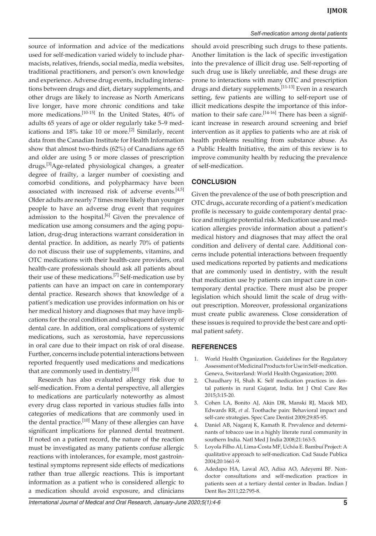source of information and advice of the medications used for self-medication varied widely to include pharmacists, relatives, friends, social media, media websites, traditional practitioners, and person's own knowledge and experience. Adverse drug events, including interactions between drugs and diet, dietary supplements, and other drugs are likely to increase as North Americans live longer, have more chronic conditions and take more medications.[10-15] In the United States, 40% of adults 65 years of age or older regularly take 5–9 medications and  $18\%$  take 10 or more.<sup>[2]</sup> Similarly, recent data from the Canadian Institute for Health Information show that almost two-thirds (62%) of Canadians age 65 and older are using 5 or more classes of prescription drugs.[3]Age-related physiological changes, a greater degree of frailty, a larger number of coexisting and comorbid conditions, and polypharmacy have been associated with increased risk of adverse events.<sup>[4,5]</sup> Older adults are nearly 7 times more likely than younger people to have an adverse drug event that requires admission to the hospital.<sup>[6]</sup> Given the prevalence of medication use among consumers and the aging population, drug-drug interactions warrant consideration in dental practice. In addition, as nearly 70% of patients do not discuss their use of supplements, vitamins, and OTC medications with their health-care providers, oral health-care professionals should ask all patients about their use of these medications.<sup>[7]</sup> Self-medication use by patients can have an impact on care in contemporary dental practice. Research shows that knowledge of a patient's medication use provides information on his or her medical history and diagnoses that may have implications for the oral condition and subsequent delivery of dental care. In addition, oral complications of systemic medications, such as xerostomia, have repercussions in oral care due to their impact on risk of oral disease. Further, concerns include potential interactions between reported frequently used medications and medications that are commonly used in dentistry.<sup>[10]</sup>

Research has also evaluated allergy risk due to self-medication. From a dental perspective, all allergies to medications are particularly noteworthy as almost every drug class reported in various studies falls into categories of medications that are commonly used in the dental practice.<sup>[10]</sup> Many of these allergies can have significant implications for planned dental treatment. If noted on a patient record, the nature of the reaction must be investigated as many patients confuse allergic reactions with intolerances, for example, most gastrointestinal symptoms represent side effects of medications rather than true allergic reactions. This is important information as a patient who is considered allergic to a medication should avoid exposure, and clinicians

should avoid prescribing such drugs to these patients. Another limitation is the lack of specific investigation into the prevalence of illicit drug use. Self-reporting of such drug use is likely unreliable, and these drugs are prone to interactions with many OTC and prescription drugs and dietary supplements.[11-13] Even in a research setting, few patients are willing to self-report use of illicit medications despite the importance of this information to their safe care.<sup>[14-16]</sup> There has been a significant increase in research around screening and brief intervention as it applies to patients who are at risk of health problems resulting from substance abuse. As a Public Health Initiative, the aim of this review is to improve community health by reducing the prevalence of self-medication.

#### **CONCLUSION**

Given the prevalence of the use of both prescription and OTC drugs, accurate recording of a patient's medication profile is necessary to guide contemporary dental practice and mitigate potential risk. Medication use and medication allergies provide information about a patient's medical history and diagnoses that may affect the oral condition and delivery of dental care. Additional concerns include potential interactions between frequently used medications reported by patients and medications that are commonly used in dentistry, with the result that medication use by patients can impact care in contemporary dental practice. There must also be proper legislation which should limit the scale of drug without prescription. Moreover, professional organizations must create public awareness. Close consideration of these issues is required to provide the best care and optimal patient safety.

### **REFERENCES**

- 1. World Health Organization. Guidelines for the Regulatory Assessment of Medicinal Products for Use in Self-medication. Geneva, Switzerland: World Health Organization; 2000.
- 2. Chaudhary H, Shah K. Self medication practices in dental patients in rural Gujarat, India. Int J Oral Care Res 2015;3:15-20.
- 3. Cohen LA, Bonito AJ, Akin DR, Manski RJ, Macek MD, Edwards RR, *et al*. Toothache pain: Behavioral impact and self-care strategies. Spec Care Dentist 2009;29:85-95.
- Daniel AB, Nagaraj K, Kamath R. Prevalence and determinants of tobacco use in a highly literate rural community in southern India. Natl Med J India 2008;21:163-5.
- 5. Loyola Filho AI, Lima-Costa MF, Uchôa E. Bambuí Project: A qualitative approach to self-medication. Cad Saude Publica 2004;20:1661-9.
- 6. Adedapo HA, Lawal AO, Adisa AO, Adeyemi BF. Nondoctor consultations and self-medication practices in patients seen at a tertiary dental center in Ibadan. Indian J Dent Res 2011;22:795-8.

*International Journal of Medical and Oral Research, January-June 2020;5(1):4-6* **5**